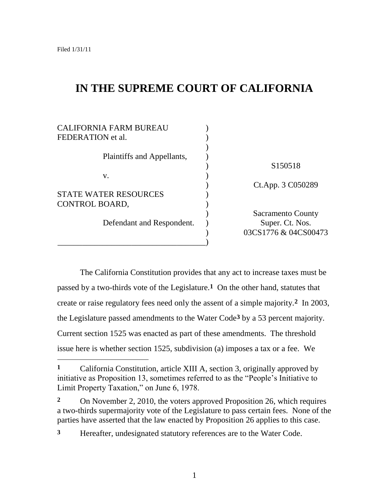# **IN THE SUPREME COURT OF CALIFORNIA**

| <b>CALIFORNIA FARM BUREAU</b> |                          |
|-------------------------------|--------------------------|
| FEDERATION et al.             |                          |
|                               |                          |
| Plaintiffs and Appellants,    |                          |
|                               | S <sub>150518</sub>      |
| V.                            |                          |
|                               | Ct.App. 3 C050289        |
| <b>STATE WATER RESOURCES</b>  |                          |
| CONTROL BOARD,                |                          |
|                               | <b>Sacramento County</b> |
| Defendant and Respondent.     | Super. Ct. Nos.          |
|                               | 03CS1776 & 04CS00473     |
|                               |                          |

The California Constitution provides that any act to increase taxes must be passed by a two-thirds vote of the Legislature.**1** On the other hand, statutes that create or raise regulatory fees need only the assent of a simple majority.**2** In 2003, the Legislature passed amendments to the Water Code**3** by a 53 percent majority. Current section 1525 was enacted as part of these amendments. The threshold issue here is whether section 1525, subdivision (a) imposes a tax or a fee. We

**<sup>1</sup>** California Constitution, article XIII A, section 3, originally approved by initiative as Proposition 13, sometimes referred to as the "People"s Initiative to Limit Property Taxation," on June 6, 1978.

**<sup>2</sup>** On November 2, 2010, the voters approved Proposition 26, which requires a two-thirds supermajority vote of the Legislature to pass certain fees. None of the parties have asserted that the law enacted by Proposition 26 applies to this case.

**<sup>3</sup>** Hereafter, undesignated statutory references are to the Water Code.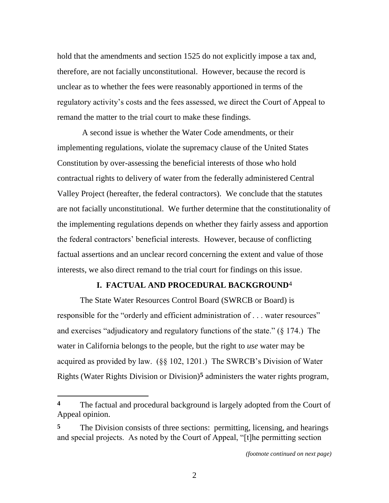hold that the amendments and section 1525 do not explicitly impose a tax and, therefore, are not facially unconstitutional. However, because the record is unclear as to whether the fees were reasonably apportioned in terms of the regulatory activity"s costs and the fees assessed, we direct the Court of Appeal to remand the matter to the trial court to make these findings.

A second issue is whether the Water Code amendments, or their implementing regulations, violate the supremacy clause of the United States Constitution by over-assessing the beneficial interests of those who hold contractual rights to delivery of water from the federally administered Central Valley Project (hereafter, the federal contractors). We conclude that the statutes are not facially unconstitutional. We further determine that the constitutionality of the implementing regulations depends on whether they fairly assess and apportion the federal contractors" beneficial interests. However, because of conflicting factual assertions and an unclear record concerning the extent and value of those interests, we also direct remand to the trial court for findings on this issue.

## **I. FACTUAL AND PROCEDURAL BACKGROUND**4

The State Water Resources Control Board (SWRCB or Board) is responsible for the "orderly and efficient administration of . . . water resources" and exercises "adjudicatory and regulatory functions of the state." (§ 174.) The water in California belongs to the people, but the right to *use* water may be acquired as provided by law. (§§ 102, 1201.) The SWRCB"s Division of Water Rights (Water Rights Division or Division)**5** administers the water rights program,

 $\overline{a}$ 

**<sup>4</sup>** The factual and procedural background is largely adopted from the Court of Appeal opinion.

<sup>&</sup>lt;sup>5</sup> The Division consists of three sections: permitting, licensing, and hearings and special projects. As noted by the Court of Appeal, "[t]he permitting section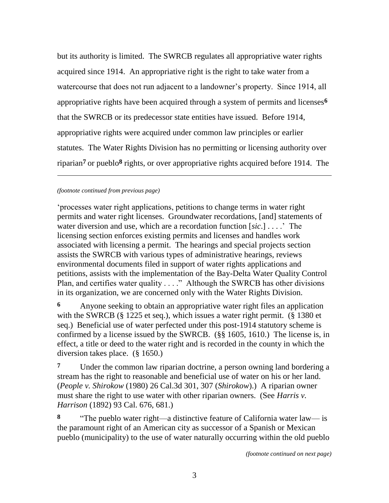but its authority is limited. The SWRCB regulates all appropriative water rights acquired since 1914. An appropriative right is the right to take water from a watercourse that does not run adjacent to a landowner's property. Since 1914, all appropriative rights have been acquired through a system of permits and licenses**6** that the SWRCB or its predecessor state entities have issued. Before 1914, appropriative rights were acquired under common law principles or earlier statutes. The Water Rights Division has no permitting or licensing authority over riparian**7** or pueblo**8** rights, or over appropriative rights acquired before 1914. The

## *(footnote continued from previous page)*

l

"processes water right applications, petitions to change terms in water right permits and water right licenses. Groundwater recordations, [and] statements of water diversion and use, which are a recordation function [*sic*.] . . . ." The licensing section enforces existing permits and licenses and handles work associated with licensing a permit. The hearings and special projects section assists the SWRCB with various types of administrative hearings, reviews environmental documents filed in support of water rights applications and petitions, assists with the implementation of the Bay-Delta Water Quality Control Plan, and certifies water quality . . . ." Although the SWRCB has other divisions in its organization, we are concerned only with the Water Rights Division.

**6** Anyone seeking to obtain an appropriative water right files an application with the SWRCB (§ 1225 et seq.), which issues a water right permit. (§ 1380 et seq.) Beneficial use of water perfected under this post-1914 statutory scheme is confirmed by a license issued by the SWRCB. (§§ 1605, 1610.) The license is, in effect, a title or deed to the water right and is recorded in the county in which the diversion takes place. (§ 1650.)

**7** Under the common law riparian doctrine, a person owning land bordering a stream has the right to reasonable and beneficial use of water on his or her land. (*People v. Shirokow* (1980) 26 Cal.3d 301, 307 (*Shirokow*).) A riparian owner must share the right to use water with other riparian owners. (See *Harris v. Harrison* (1892) 93 Cal. 676, 681.)

**8** "The pueblo water right—a distinctive feature of California water law— is the paramount right of an American city as successor of a Spanish or Mexican pueblo (municipality) to the use of water naturally occurring within the old pueblo

*(footnote continued on next page)*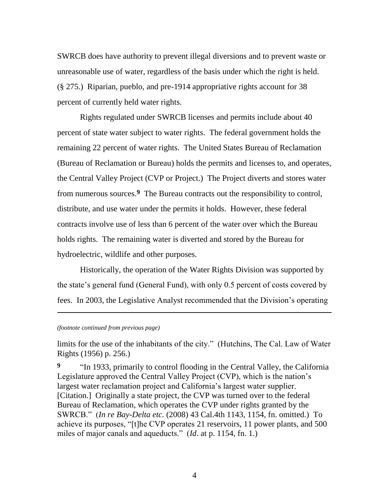SWRCB does have authority to prevent illegal diversions and to prevent waste or unreasonable use of water, regardless of the basis under which the right is held. (§ 275.) Riparian, pueblo, and pre-1914 appropriative rights account for 38 percent of currently held water rights.

Rights regulated under SWRCB licenses and permits include about 40 percent of state water subject to water rights. The federal government holds the remaining 22 percent of water rights. The United States Bureau of Reclamation (Bureau of Reclamation or Bureau) holds the permits and licenses to, and operates, the Central Valley Project (CVP or Project.) The Project diverts and stores water from numerous sources.**9** The Bureau contracts out the responsibility to control, distribute, and use water under the permits it holds. However, these federal contracts involve use of less than 6 percent of the water over which the Bureau holds rights. The remaining water is diverted and stored by the Bureau for hydroelectric, wildlife and other purposes.

Historically, the operation of the Water Rights Division was supported by the state's general fund (General Fund), with only 0.5 percent of costs covered by fees. In 2003, the Legislative Analyst recommended that the Division"s operating

*(footnote continued from previous page)*

l

limits for the use of the inhabitants of the city." (Hutchins, The Cal. Law of Water Rights (1956) p. 256.)

**9** "In 1933, primarily to control flooding in the Central Valley, the California Legislature approved the Central Valley Project (CVP), which is the nation's largest water reclamation project and California's largest water supplier. [Citation.] Originally a state project, the CVP was turned over to the federal Bureau of Reclamation, which operates the CVP under rights granted by the SWRCB." (*In re Bay-Delta etc.* (2008) 43 Cal.4th 1143, 1154, fn. omitted.) To achieve its purposes, "[t]he CVP operates 21 reservoirs, 11 power plants, and 500 miles of major canals and aqueducts." (*Id*. at p. 1154, fn. 1.)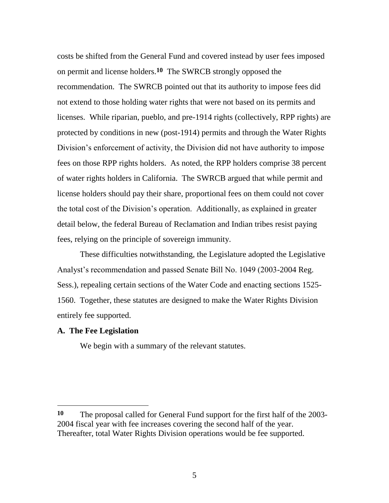costs be shifted from the General Fund and covered instead by user fees imposed on permit and license holders.**10** The SWRCB strongly opposed the recommendation. The SWRCB pointed out that its authority to impose fees did not extend to those holding water rights that were not based on its permits and licenses. While riparian, pueblo, and pre-1914 rights (collectively, RPP rights) are protected by conditions in new (post-1914) permits and through the Water Rights Division's enforcement of activity, the Division did not have authority to impose fees on those RPP rights holders. As noted, the RPP holders comprise 38 percent of water rights holders in California. The SWRCB argued that while permit and license holders should pay their share, proportional fees on them could not cover the total cost of the Division"s operation. Additionally, as explained in greater detail below, the federal Bureau of Reclamation and Indian tribes resist paying fees, relying on the principle of sovereign immunity.

These difficulties notwithstanding, the Legislature adopted the Legislative Analyst"s recommendation and passed Senate Bill No. 1049 (2003-2004 Reg. Sess.), repealing certain sections of the Water Code and enacting sections 1525- 1560. Together, these statutes are designed to make the Water Rights Division entirely fee supported.

### **A. The Fee Legislation**

We begin with a summary of the relevant statutes.

**<sup>10</sup>** The proposal called for General Fund support for the first half of the 2003- 2004 fiscal year with fee increases covering the second half of the year. Thereafter, total Water Rights Division operations would be fee supported.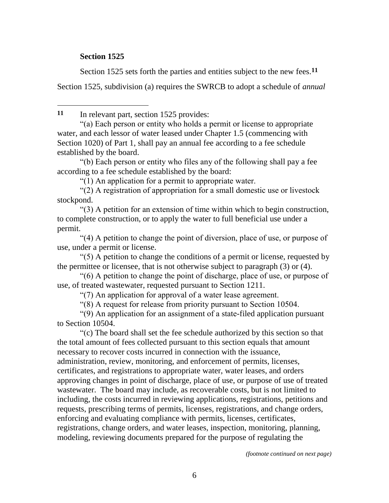# **Section 1525**

 $\overline{a}$ 

Section 1525 sets forth the parties and entities subject to the new fees.**11**

Section 1525, subdivision (a) requires the SWRCB to adopt a schedule of *annual* 

**11** In relevant part, section 1525 provides:

"(a) Each person or entity who holds a permit or license to appropriate water, and each lessor of water leased under Chapter 1.5 (commencing with Section 1020) of Part 1, shall pay an annual fee according to a fee schedule established by the board.

"(b) Each person or entity who files any of the following shall pay a fee according to a fee schedule established by the board:

"(1) An application for a permit to appropriate water.

"(2) A registration of appropriation for a small domestic use or livestock stockpond.

"(3) A petition for an extension of time within which to begin construction, to complete construction, or to apply the water to full beneficial use under a permit.

"(4) A petition to change the point of diversion, place of use, or purpose of use, under a permit or license.

"(5) A petition to change the conditions of a permit or license, requested by the permittee or licensee, that is not otherwise subject to paragraph (3) or (4).

"(6) A petition to change the point of discharge, place of use, or purpose of use, of treated wastewater, requested pursuant to Section 1211.

"(7) An application for approval of a water lease agreement.

"(8) A request for release from priority pursuant to Section 10504.

"(9) An application for an assignment of a state-filed application pursuant to Section 10504.

"(c) The board shall set the fee schedule authorized by this section so that the total amount of fees collected pursuant to this section equals that amount necessary to recover costs incurred in connection with the issuance, administration, review, monitoring, and enforcement of permits, licenses, certificates, and registrations to appropriate water, water leases, and orders approving changes in point of discharge, place of use, or purpose of use of treated wastewater. The board may include, as recoverable costs, but is not limited to including, the costs incurred in reviewing applications, registrations, petitions and requests, prescribing terms of permits, licenses, registrations, and change orders, enforcing and evaluating compliance with permits, licenses, certificates, registrations, change orders, and water leases, inspection, monitoring, planning, modeling, reviewing documents prepared for the purpose of regulating the

*(footnote continued on next page)*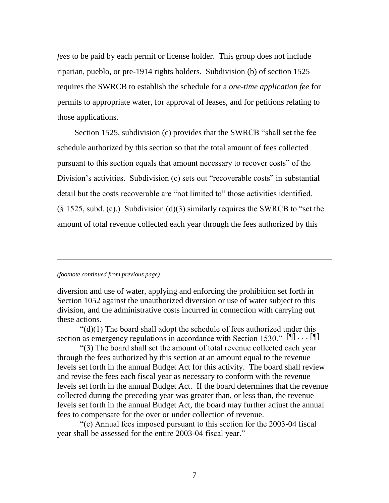*fees* to be paid by each permit or license holder. This group does not include riparian, pueblo, or pre-1914 rights holders. Subdivision (b) of section 1525 requires the SWRCB to establish the schedule for a *one-time application fee* for permits to appropriate water, for approval of leases, and for petitions relating to those applications.

Section 1525, subdivision (c) provides that the SWRCB "shall set the fee schedule authorized by this section so that the total amount of fees collected pursuant to this section equals that amount necessary to recover costs" of the Division"s activities. Subdivision (c) sets out "recoverable costs" in substantial detail but the costs recoverable are "not limited to" those activities identified. (§ 1525, subd. (c).) Subdivision (d)(3) similarly requires the SWRCB to "set the amount of total revenue collected each year through the fees authorized by this

#### *(footnote continued from previous page)*

l

diversion and use of water, applying and enforcing the prohibition set forth in Section 1052 against the unauthorized diversion or use of water subject to this division, and the administrative costs incurred in connection with carrying out these actions.

"(d)(1) The board shall adopt the schedule of fees authorized under this section as emergency regulations in accordance with Section 1530."  $[\![\mathbb{T}]\!] \cdots [\![\mathbb{T}]\!]$ 

"(3) The board shall set the amount of total revenue collected each year through the fees authorized by this section at an amount equal to the revenue levels set forth in the annual Budget Act for this activity. The board shall review and revise the fees each fiscal year as necessary to conform with the revenue levels set forth in the annual Budget Act. If the board determines that the revenue collected during the preceding year was greater than, or less than, the revenue levels set forth in the annual Budget Act, the board may further adjust the annual fees to compensate for the over or under collection of revenue.

"(e) Annual fees imposed pursuant to this section for the 2003-04 fiscal year shall be assessed for the entire 2003-04 fiscal year."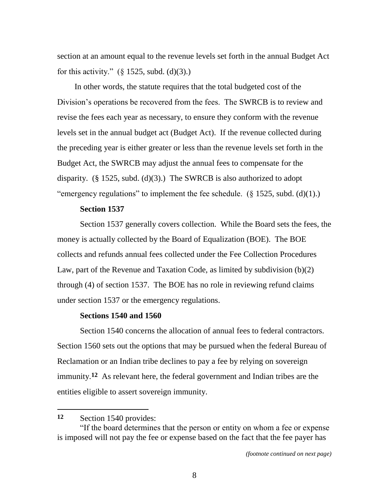section at an amount equal to the revenue levels set forth in the annual Budget Act for this activity."  $(\S$  1525, subd. (d)(3).)

In other words, the statute requires that the total budgeted cost of the Division's operations be recovered from the fees. The SWRCB is to review and revise the fees each year as necessary, to ensure they conform with the revenue levels set in the annual budget act (Budget Act). If the revenue collected during the preceding year is either greater or less than the revenue levels set forth in the Budget Act, the SWRCB may adjust the annual fees to compensate for the disparity. (§ 1525, subd. (d)(3).) The SWRCB is also authorized to adopt "emergency regulations" to implement the fee schedule.  $(\S 1525, \text{subd.} (d)(1))$ .

## **Section 1537**

Section 1537 generally covers collection. While the Board sets the fees, the money is actually collected by the Board of Equalization (BOE). The BOE collects and refunds annual fees collected under the Fee Collection Procedures Law, part of the Revenue and Taxation Code, as limited by subdivision (b)(2) through (4) of section 1537. The BOE has no role in reviewing refund claims under section 1537 or the emergency regulations.

## **Sections 1540 and 1560**

Section 1540 concerns the allocation of annual fees to federal contractors. Section 1560 sets out the options that may be pursued when the federal Bureau of Reclamation or an Indian tribe declines to pay a fee by relying on sovereign immunity.**12** As relevant here, the federal government and Indian tribes are the entities eligible to assert sovereign immunity.

**<sup>12</sup>** Section 1540 provides:

<sup>&</sup>quot;If the board determines that the person or entity on whom a fee or expense is imposed will not pay the fee or expense based on the fact that the fee payer has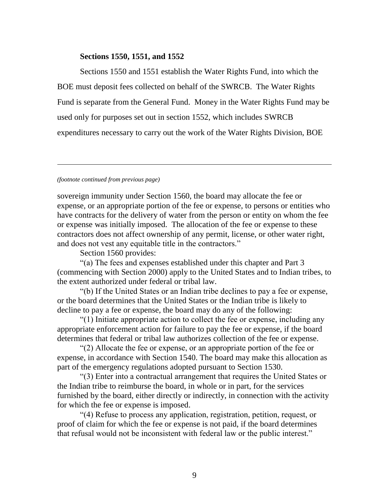## **Sections 1550, 1551, and 1552**

Sections 1550 and 1551 establish the Water Rights Fund, into which the BOE must deposit fees collected on behalf of the SWRCB. The Water Rights Fund is separate from the General Fund. Money in the Water Rights Fund may be used only for purposes set out in section 1552, which includes SWRCB expenditures necessary to carry out the work of the Water Rights Division, BOE

### *(footnote continued from previous page)*

l

sovereign immunity under Section 1560, the board may allocate the fee or expense, or an appropriate portion of the fee or expense, to persons or entities who have contracts for the delivery of water from the person or entity on whom the fee or expense was initially imposed. The allocation of the fee or expense to these contractors does not affect ownership of any permit, license, or other water right, and does not vest any equitable title in the contractors."

Section 1560 provides:

"(a) The fees and expenses established under this chapter and Part 3 (commencing with Section 2000) apply to the United States and to Indian tribes, to the extent authorized under federal or tribal law.

"(b) If the United States or an Indian tribe declines to pay a fee or expense, or the board determines that the United States or the Indian tribe is likely to decline to pay a fee or expense, the board may do any of the following:

"(1) Initiate appropriate action to collect the fee or expense, including any appropriate enforcement action for failure to pay the fee or expense, if the board determines that federal or tribal law authorizes collection of the fee or expense.

"(2) Allocate the fee or expense, or an appropriate portion of the fee or expense, in accordance with Section 1540. The board may make this allocation as part of the emergency regulations adopted pursuant to Section 1530.

"(3) Enter into a contractual arrangement that requires the United States or the Indian tribe to reimburse the board, in whole or in part, for the services furnished by the board, either directly or indirectly, in connection with the activity for which the fee or expense is imposed.

"(4) Refuse to process any application, registration, petition, request, or proof of claim for which the fee or expense is not paid, if the board determines that refusal would not be inconsistent with federal law or the public interest."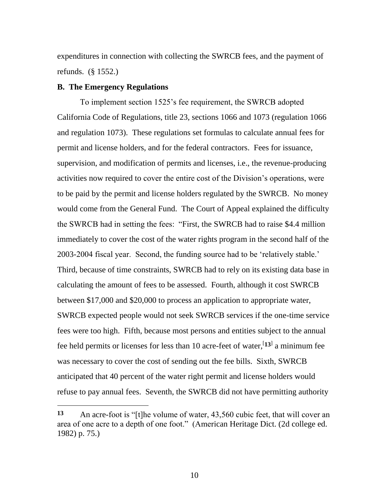expenditures in connection with collecting the SWRCB fees, and the payment of refunds. (§ 1552.)

## **B. The Emergency Regulations**

To implement section 1525"s fee requirement, the SWRCB adopted California Code of Regulations, title 23, sections 1066 and 1073 (regulation 1066 and regulation 1073). These regulations set formulas to calculate annual fees for permit and license holders, and for the federal contractors. Fees for issuance, supervision, and modification of permits and licenses, i.e., the revenue-producing activities now required to cover the entire cost of the Division"s operations, were to be paid by the permit and license holders regulated by the SWRCB. No money would come from the General Fund. The Court of Appeal explained the difficulty the SWRCB had in setting the fees: "First, the SWRCB had to raise \$4.4 million immediately to cover the cost of the water rights program in the second half of the 2003-2004 fiscal year. Second, the funding source had to be "relatively stable." Third, because of time constraints, SWRCB had to rely on its existing data base in calculating the amount of fees to be assessed. Fourth, although it cost SWRCB between \$17,000 and \$20,000 to process an application to appropriate water, SWRCB expected people would not seek SWRCB services if the one-time service fees were too high. Fifth, because most persons and entities subject to the annual fee held permits or licenses for less than 10 acre-feet of water,<sup>[13]</sup> a minimum fee was necessary to cover the cost of sending out the fee bills. Sixth, SWRCB anticipated that 40 percent of the water right permit and license holders would refuse to pay annual fees. Seventh, the SWRCB did not have permitting authority

**<sup>13</sup>** An acre-foot is "[t]he volume of water, 43,560 cubic feet, that will cover an area of one acre to a depth of one foot." (American Heritage Dict. (2d college ed. 1982) p. 75.)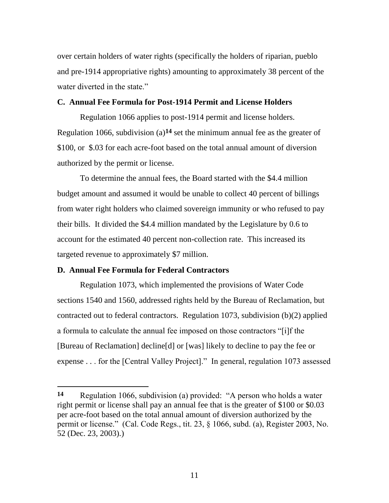over certain holders of water rights (specifically the holders of riparian, pueblo and pre-1914 appropriative rights) amounting to approximately 38 percent of the water diverted in the state."

## **C. Annual Fee Formula for Post-1914 Permit and License Holders**

Regulation 1066 applies to post-1914 permit and license holders. Regulation 1066, subdivision (a)**14** set the minimum annual fee as the greater of \$100, or \$.03 for each acre-foot based on the total annual amount of diversion authorized by the permit or license.

To determine the annual fees, the Board started with the \$4.4 million budget amount and assumed it would be unable to collect 40 percent of billings from water right holders who claimed sovereign immunity or who refused to pay their bills. It divided the \$4.4 million mandated by the Legislature by 0.6 to account for the estimated 40 percent non-collection rate. This increased its targeted revenue to approximately \$7 million.

## **D. Annual Fee Formula for Federal Contractors**

Regulation 1073, which implemented the provisions of Water Code sections 1540 and 1560, addressed rights held by the Bureau of Reclamation, but contracted out to federal contractors. Regulation 1073, subdivision (b)(2) applied a formula to calculate the annual fee imposed on those contractors "[i]f the [Bureau of Reclamation] decline[d] or [was] likely to decline to pay the fee or expense . . . for the [Central Valley Project]." In general, regulation 1073 assessed

**<sup>14</sup>** Regulation 1066, subdivision (a) provided: "A person who holds a water right permit or license shall pay an annual fee that is the greater of \$100 or \$0.03 per acre-foot based on the total annual amount of diversion authorized by the permit or license." (Cal. Code Regs., tit. 23, § 1066, subd. (a), Register 2003, No. 52 (Dec. 23, 2003).)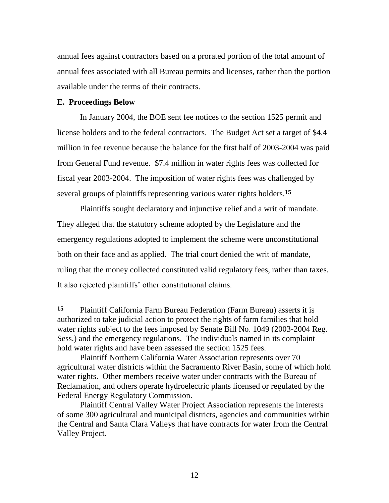annual fees against contractors based on a prorated portion of the total amount of annual fees associated with all Bureau permits and licenses, rather than the portion available under the terms of their contracts.

## **E. Proceedings Below**

In January 2004, the BOE sent fee notices to the section 1525 permit and license holders and to the federal contractors. The Budget Act set a target of \$4.4 million in fee revenue because the balance for the first half of 2003-2004 was paid from General Fund revenue. \$7.4 million in water rights fees was collected for fiscal year 2003-2004. The imposition of water rights fees was challenged by several groups of plaintiffs representing various water rights holders.**15**

Plaintiffs sought declaratory and injunctive relief and a writ of mandate. They alleged that the statutory scheme adopted by the Legislature and the emergency regulations adopted to implement the scheme were unconstitutional both on their face and as applied. The trial court denied the writ of mandate, ruling that the money collected constituted valid regulatory fees, rather than taxes. It also rejected plaintiffs' other constitutional claims.

**<sup>15</sup>** Plaintiff California Farm Bureau Federation (Farm Bureau) asserts it is authorized to take judicial action to protect the rights of farm families that hold water rights subject to the fees imposed by Senate Bill No. 1049 (2003-2004 Reg. Sess.) and the emergency regulations. The individuals named in its complaint hold water rights and have been assessed the section 1525 fees.

Plaintiff Northern California Water Association represents over 70 agricultural water districts within the Sacramento River Basin, some of which hold water rights. Other members receive water under contracts with the Bureau of Reclamation, and others operate hydroelectric plants licensed or regulated by the Federal Energy Regulatory Commission.

Plaintiff Central Valley Water Project Association represents the interests of some 300 agricultural and municipal districts, agencies and communities within the Central and Santa Clara Valleys that have contracts for water from the Central Valley Project.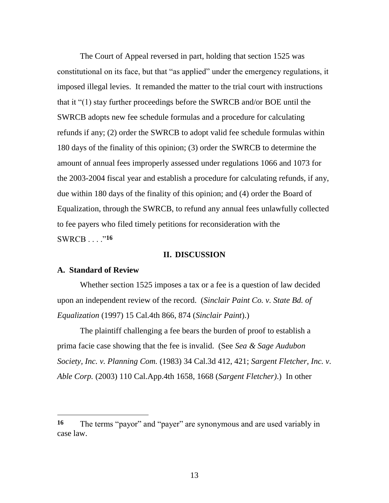The Court of Appeal reversed in part, holding that section 1525 was constitutional on its face, but that "as applied" under the emergency regulations, it imposed illegal levies. It remanded the matter to the trial court with instructions that it "(1) stay further proceedings before the SWRCB and/or BOE until the SWRCB adopts new fee schedule formulas and a procedure for calculating refunds if any; (2) order the SWRCB to adopt valid fee schedule formulas within 180 days of the finality of this opinion; (3) order the SWRCB to determine the amount of annual fees improperly assessed under regulations 1066 and 1073 for the 2003-2004 fiscal year and establish a procedure for calculating refunds, if any, due within 180 days of the finality of this opinion; and (4) order the Board of Equalization, through the SWRCB, to refund any annual fees unlawfully collected to fee payers who filed timely petitions for reconsideration with the SWRCB . . . ."**16**

### **II. DISCUSSION**

### **A. Standard of Review**

 $\overline{a}$ 

Whether section 1525 imposes a tax or a fee is a question of law decided upon an independent review of the record. (*Sinclair Paint Co. v. State Bd. of Equalization* (1997) 15 Cal.4th 866, 874 (*Sinclair Paint*).)

The plaintiff challenging a fee bears the burden of proof to establish a prima facie case showing that the fee is invalid. (See *Sea & Sage Audubon Society, Inc. v. Planning Com.* (1983) 34 Cal.3d 412, 421; *Sargent Fletcher, Inc. v. Able Corp.* (2003) 110 Cal.App.4th 1658, 1668 (*Sargent Fletcher)*.) In other

**<sup>16</sup>** The terms "payor" and "payer" are synonymous and are used variably in case law.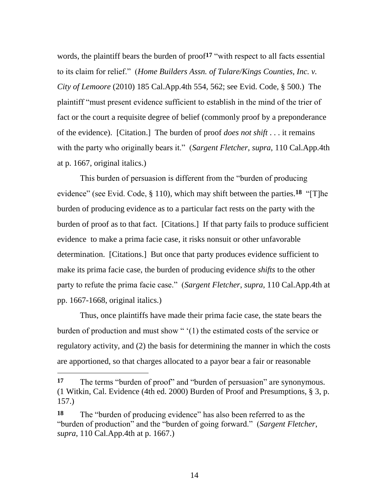words, the plaintiff bears the burden of proof**17** "with respect to all facts essential to its claim for relief." (*Home Builders Assn. of Tulare/Kings Counties, Inc. v. City of Lemoore* (2010) 185 Cal.App.4th 554, 562; see Evid. Code, § 500.) The plaintiff "must present evidence sufficient to establish in the mind of the trier of fact or the court a requisite degree of belief (commonly proof by a preponderance of the evidence). [Citation.] The burden of proof *does not shift* . . . it remains with the party who originally bears it." (*Sargent Fletcher*, *supra*, 110 Cal.App.4th at p. 1667, original italics.)

This burden of persuasion is different from the "burden of producing evidence" (see Evid. Code, § 110), which may shift between the parties.**18** "[T]he burden of producing evidence as to a particular fact rests on the party with the burden of proof as to that fact. [Citations.] If that party fails to produce sufficient evidence to make a prima facie case, it risks nonsuit or other unfavorable determination. [Citations.] But once that party produces evidence sufficient to make its prima facie case, the burden of producing evidence *shifts* to the other party to refute the prima facie case." (*Sargent Fletcher*, *supra*, 110 Cal.App.4th at pp. 1667-1668, original italics.)

Thus, once plaintiffs have made their prima facie case, the state bears the burden of production and must show " (1) the estimated costs of the service or regulatory activity, and (2) the basis for determining the manner in which the costs are apportioned, so that charges allocated to a payor bear a fair or reasonable

 $\overline{a}$ 

**<sup>17</sup>** The terms "burden of proof" and "burden of persuasion" are synonymous. (1 Witkin, Cal. Evidence (4th ed. 2000) Burden of Proof and Presumptions, § 3, p. 157.)

**<sup>18</sup>** The "burden of producing evidence" has also been referred to as the "burden of production" and the "burden of going forward." (*Sargent Fletcher*, *supra*, 110 Cal.App.4th at p. 1667.)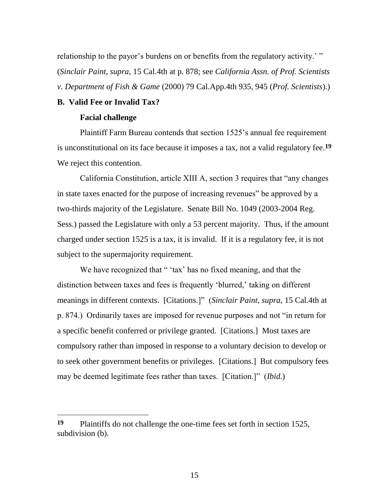relationship to the payor's burdens on or benefits from the regulatory activity.'" (*Sinclair Paint*, *supra*, 15 Cal.4th at p. 878; see *California Assn. of Prof. Scientists v. Department of Fish & Game* (2000) 79 Cal.App.4th 935, 945 (*Prof. Scientists*).)

## **B. Valid Fee or Invalid Tax?**

### **Facial challenge**

 $\overline{a}$ 

Plaintiff Farm Bureau contends that section 1525"s annual fee requirement is unconstitutional on its face because it imposes a tax, not a valid regulatory fee.**19** We reject this contention.

California Constitution, article XIII A, section 3 requires that "any changes in state taxes enacted for the purpose of increasing revenues" be approved by a two-thirds majority of the Legislature. Senate Bill No. 1049 (2003-2004 Reg. Sess.) passed the Legislature with only a 53 percent majority. Thus, if the amount charged under section 1525 is a tax, it is invalid. If it is a regulatory fee, it is not subject to the supermajority requirement.

We have recognized that " 'tax' has no fixed meaning, and that the distinction between taxes and fees is frequently 'blurred,' taking on different meanings in different contexts. [Citations.]" (*Sinclair Paint*, *supra*, 15 Cal.4th at p. 874.) Ordinarily taxes are imposed for revenue purposes and not "in return for a specific benefit conferred or privilege granted. [Citations.] Most taxes are compulsory rather than imposed in response to a voluntary decision to develop or to seek other government benefits or privileges. [Citations.] But compulsory fees may be deemed legitimate fees rather than taxes. [Citation.]" (*Ibid.*)

**<sup>19</sup>** Plaintiffs do not challenge the one-time fees set forth in section 1525, subdivision (b).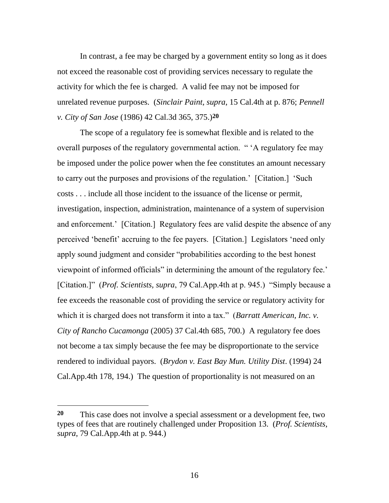In contrast, a fee may be charged by a government entity so long as it does not exceed the reasonable cost of providing services necessary to regulate the activity for which the fee is charged. A valid fee may not be imposed for unrelated revenue purposes. (*Sinclair Paint*, *supra*, 15 Cal.4th at p. 876; *Pennell v. City of San Jose* (1986) 42 Cal.3d 365, 375.)**20**

The scope of a regulatory fee is somewhat flexible and is related to the overall purposes of the regulatory governmental action. " "A regulatory fee may be imposed under the police power when the fee constitutes an amount necessary to carry out the purposes and provisions of the regulation." [Citation.] "Such costs . . . include all those incident to the issuance of the license or permit, investigation, inspection, administration, maintenance of a system of supervision and enforcement." [Citation.] Regulatory fees are valid despite the absence of any perceived "benefit" accruing to the fee payers. [Citation.] Legislators "need only apply sound judgment and consider "probabilities according to the best honest viewpoint of informed officials" in determining the amount of the regulatory fee." [Citation.]" (*Prof. Scientists, supra*, 79 Cal.App.4th at p. 945.) "Simply because a fee exceeds the reasonable cost of providing the service or regulatory activity for which it is charged does not transform it into a tax." (*Barratt American, Inc. v. City of Rancho Cucamonga* (2005) 37 Cal.4th 685, 700.) A regulatory fee does not become a tax simply because the fee may be disproportionate to the service rendered to individual payors. (*Brydon v. East Bay Mun. Utility Dist*. (1994) 24 Cal.App.4th 178, 194.) The question of proportionality is not measured on an

**<sup>20</sup>** This case does not involve a special assessment or a development fee, two types of fees that are routinely challenged under Proposition 13. (*Prof. Scientists*, *supra*, 79 Cal.App.4th at p. 944.)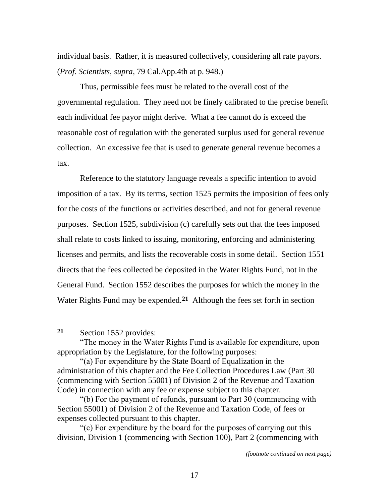individual basis. Rather, it is measured collectively, considering all rate payors. (*Prof. Scientists*, *supra*, 79 Cal.App.4th at p. 948.)

Thus, permissible fees must be related to the overall cost of the governmental regulation. They need not be finely calibrated to the precise benefit each individual fee payor might derive. What a fee cannot do is exceed the reasonable cost of regulation with the generated surplus used for general revenue collection. An excessive fee that is used to generate general revenue becomes a tax.

Reference to the statutory language reveals a specific intention to avoid imposition of a tax. By its terms, section 1525 permits the imposition of fees only for the costs of the functions or activities described, and not for general revenue purposes. Section 1525, subdivision (c) carefully sets out that the fees imposed shall relate to costs linked to issuing, monitoring, enforcing and administering licenses and permits, and lists the recoverable costs in some detail. Section 1551 directs that the fees collected be deposited in the Water Rights Fund, not in the General Fund. Section 1552 describes the purposes for which the money in the Water Rights Fund may be expended.**21** Although the fees set forth in section

**<sup>21</sup>** Section 1552 provides:

<sup>&</sup>quot;The money in the Water Rights Fund is available for expenditure, upon appropriation by the Legislature, for the following purposes:

<sup>&</sup>quot;(a) For expenditure by the State Board of Equalization in the administration of this chapter and the Fee Collection Procedures Law (Part 30 (commencing with Section 55001) of Division 2 of the Revenue and Taxation Code) in connection with any fee or expense subject to this chapter.

<sup>&</sup>quot;(b) For the payment of refunds, pursuant to Part 30 (commencing with Section 55001) of Division 2 of the Revenue and Taxation Code, of fees or expenses collected pursuant to this chapter.

<sup>&</sup>quot;(c) For expenditure by the board for the purposes of carrying out this division, Division 1 (commencing with Section 100), Part 2 (commencing with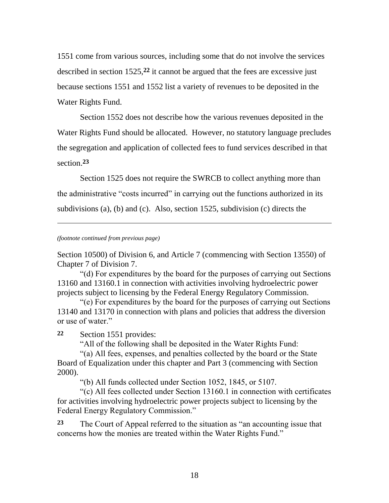1551 come from various sources, including some that do not involve the services described in section 1525,**22** it cannot be argued that the fees are excessive just because sections 1551 and 1552 list a variety of revenues to be deposited in the Water Rights Fund.

Section 1552 does not describe how the various revenues deposited in the Water Rights Fund should be allocated. However, no statutory language precludes the segregation and application of collected fees to fund services described in that section.**23**

Section 1525 does not require the SWRCB to collect anything more than the administrative "costs incurred" in carrying out the functions authorized in its subdivisions (a), (b) and (c). Also, section 1525, subdivision (c) directs the

*(footnote continued from previous page)*

l

Section 10500) of Division 6, and Article 7 (commencing with Section 13550) of Chapter 7 of Division 7.

"(d) For expenditures by the board for the purposes of carrying out Sections 13160 and 13160.1 in connection with activities involving hydroelectric power projects subject to licensing by the Federal Energy Regulatory Commission.

"(e) For expenditures by the board for the purposes of carrying out Sections 13140 and 13170 in connection with plans and policies that address the diversion or use of water."

**22** Section 1551 provides:

"All of the following shall be deposited in the Water Rights Fund:

"(a) All fees, expenses, and penalties collected by the board or the State Board of Equalization under this chapter and Part 3 (commencing with Section 2000).

"(b) All funds collected under Section 1052, 1845, or 5107.

"(c) All fees collected under Section 13160.1 in connection with certificates for activities involving hydroelectric power projects subject to licensing by the Federal Energy Regulatory Commission."

**23** The Court of Appeal referred to the situation as "an accounting issue that concerns how the monies are treated within the Water Rights Fund."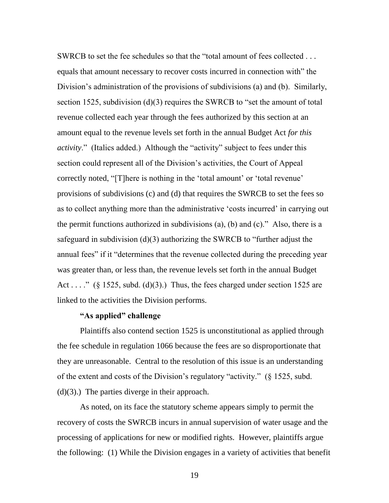SWRCB to set the fee schedules so that the "total amount of fees collected . . . equals that amount necessary to recover costs incurred in connection with" the Division's administration of the provisions of subdivisions (a) and (b). Similarly, section 1525, subdivision (d)(3) requires the SWRCB to "set the amount of total revenue collected each year through the fees authorized by this section at an amount equal to the revenue levels set forth in the annual Budget Act *for this activity*." (Italics added.) Although the "activity" subject to fees under this section could represent all of the Division's activities, the Court of Appeal correctly noted, "[T]here is nothing in the 'total amount' or 'total revenue' provisions of subdivisions (c) and (d) that requires the SWRCB to set the fees so as to collect anything more than the administrative "costs incurred" in carrying out the permit functions authorized in subdivisions (a), (b) and (c)." Also, there is a safeguard in subdivision (d)(3) authorizing the SWRCB to "further adjust the annual fees" if it "determines that the revenue collected during the preceding year was greater than, or less than, the revenue levels set forth in the annual Budget Act . . . ." (§ 1525, subd. (d)(3).) Thus, the fees charged under section 1525 are linked to the activities the Division performs.

## **"As applied" challenge**

Plaintiffs also contend section 1525 is unconstitutional as applied through the fee schedule in regulation 1066 because the fees are so disproportionate that they are unreasonable. Central to the resolution of this issue is an understanding of the extent and costs of the Division"s regulatory "activity." (§ 1525, subd.  $(d)(3)$ .) The parties diverge in their approach.

As noted, on its face the statutory scheme appears simply to permit the recovery of costs the SWRCB incurs in annual supervision of water usage and the processing of applications for new or modified rights. However, plaintiffs argue the following: (1) While the Division engages in a variety of activities that benefit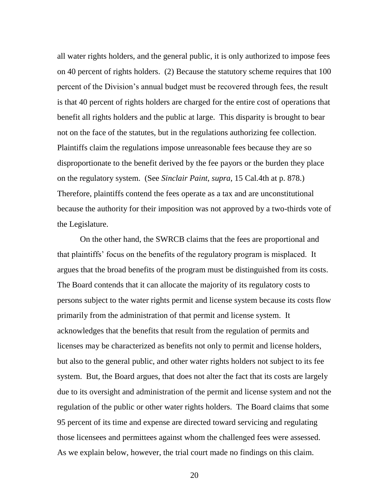all water rights holders, and the general public, it is only authorized to impose fees on 40 percent of rights holders. (2) Because the statutory scheme requires that 100 percent of the Division"s annual budget must be recovered through fees, the result is that 40 percent of rights holders are charged for the entire cost of operations that benefit all rights holders and the public at large. This disparity is brought to bear not on the face of the statutes, but in the regulations authorizing fee collection. Plaintiffs claim the regulations impose unreasonable fees because they are so disproportionate to the benefit derived by the fee payors or the burden they place on the regulatory system. (See *Sinclair Paint*, *supra*, 15 Cal.4th at p. 878.) Therefore, plaintiffs contend the fees operate as a tax and are unconstitutional because the authority for their imposition was not approved by a two-thirds vote of the Legislature.

On the other hand, the SWRCB claims that the fees are proportional and that plaintiffs" focus on the benefits of the regulatory program is misplaced. It argues that the broad benefits of the program must be distinguished from its costs. The Board contends that it can allocate the majority of its regulatory costs to persons subject to the water rights permit and license system because its costs flow primarily from the administration of that permit and license system. It acknowledges that the benefits that result from the regulation of permits and licenses may be characterized as benefits not only to permit and license holders, but also to the general public, and other water rights holders not subject to its fee system. But, the Board argues, that does not alter the fact that its costs are largely due to its oversight and administration of the permit and license system and not the regulation of the public or other water rights holders. The Board claims that some 95 percent of its time and expense are directed toward servicing and regulating those licensees and permittees against whom the challenged fees were assessed. As we explain below, however, the trial court made no findings on this claim.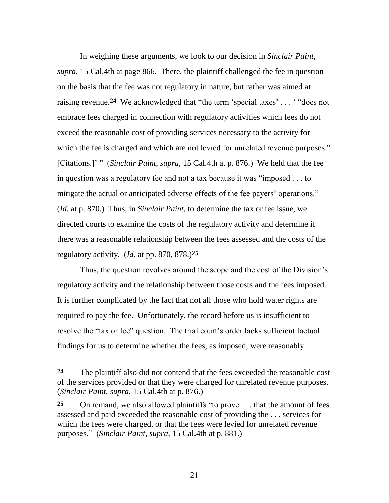In weighing these arguments, we look to our decision in *Sinclair Paint*, *supra*, 15 Cal.4th at page 866. There, the plaintiff challenged the fee in question on the basis that the fee was not regulatory in nature, but rather was aimed at raising revenue.<sup>24</sup> We acknowledged that "the term 'special taxes'... " does not embrace fees charged in connection with regulatory activities which fees do not exceed the reasonable cost of providing services necessary to the activity for which the fee is charged and which are not levied for unrelated revenue purposes." [Citations.]" " (*Sinclair Paint*, *supra*, 15 Cal.4th at p. 876.) We held that the fee in question was a regulatory fee and not a tax because it was "imposed . . . to mitigate the actual or anticipated adverse effects of the fee payers' operations." (*Id.* at p. 870.) Thus, in *Sinclair Paint*, to determine the tax or fee issue, we directed courts to examine the costs of the regulatory activity and determine if there was a reasonable relationship between the fees assessed and the costs of the regulatory activity. (*Id.* at pp. 870, 878.)**25**

Thus, the question revolves around the scope and the cost of the Division's regulatory activity and the relationship between those costs and the fees imposed. It is further complicated by the fact that not all those who hold water rights are required to pay the fee. Unfortunately, the record before us is insufficient to resolve the "tax or fee" question. The trial court's order lacks sufficient factual findings for us to determine whether the fees, as imposed, were reasonably

 $\overline{a}$ 

**<sup>24</sup>** The plaintiff also did not contend that the fees exceeded the reasonable cost of the services provided or that they were charged for unrelated revenue purposes. (*Sinclair Paint*, *supra*, 15 Cal.4th at p. 876.)

**<sup>25</sup>** On remand, we also allowed plaintiffs "to prove . . . that the amount of fees assessed and paid exceeded the reasonable cost of providing the . . . services for which the fees were charged, or that the fees were levied for unrelated revenue purposes." (*Sinclair Paint*, *supra*, 15 Cal.4th at p. 881.)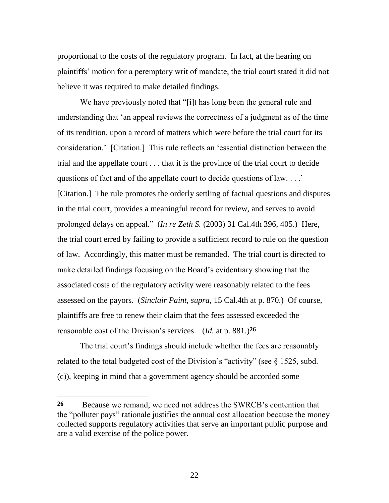proportional to the costs of the regulatory program. In fact, at the hearing on plaintiffs" motion for a peremptory writ of mandate, the trial court stated it did not believe it was required to make detailed findings.

We have previously noted that "[i]t has long been the general rule and understanding that "an appeal reviews the correctness of a judgment as of the time of its rendition, upon a record of matters which were before the trial court for its consideration." [Citation.] This rule reflects an "essential distinction between the trial and the appellate court . . . that it is the province of the trial court to decide questions of fact and of the appellate court to decide questions of law.  $\ldots$ . [Citation.] The rule promotes the orderly settling of factual questions and disputes in the trial court, provides a meaningful record for review, and serves to avoid prolonged delays on appeal." (*In re Zeth S.* (2003) 31 Cal.4th 396, 405.) Here, the trial court erred by failing to provide a sufficient record to rule on the question of law. Accordingly, this matter must be remanded. The trial court is directed to make detailed findings focusing on the Board"s evidentiary showing that the associated costs of the regulatory activity were reasonably related to the fees assessed on the payors. (*Sinclair Paint*, *supra*, 15 Cal.4th at p. 870.) Of course, plaintiffs are free to renew their claim that the fees assessed exceeded the reasonable cost of the Division"s services. (*Id.* at p. 881.)**26** 

The trial court's findings should include whether the fees are reasonably related to the total budgeted cost of the Division's "activity" (see  $\S$  1525, subd. (c)), keeping in mind that a government agency should be accorded some

**<sup>26</sup>** Because we remand, we need not address the SWRCB"s contention that the "polluter pays" rationale justifies the annual cost allocation because the money collected supports regulatory activities that serve an important public purpose and are a valid exercise of the police power.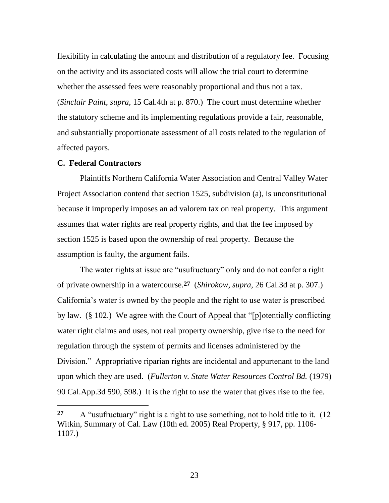flexibility in calculating the amount and distribution of a regulatory fee. Focusing on the activity and its associated costs will allow the trial court to determine whether the assessed fees were reasonably proportional and thus not a tax. (*Sinclair Paint*, *supra*, 15 Cal.4th at p. 870.) The court must determine whether the statutory scheme and its implementing regulations provide a fair, reasonable, and substantially proportionate assessment of all costs related to the regulation of affected payors.

### **C. Federal Contractors**

Plaintiffs Northern California Water Association and Central Valley Water Project Association contend that section 1525, subdivision (a), is unconstitutional because it improperly imposes an ad valorem tax on real property. This argument assumes that water rights are real property rights, and that the fee imposed by section 1525 is based upon the ownership of real property. Because the assumption is faulty, the argument fails.

The water rights at issue are "usufructuary" only and do not confer a right of private ownership in a watercourse.**27** (*Shirokow*, *supra*, 26 Cal.3d at p. 307.) California"s water is owned by the people and the right to use water is prescribed by law. (§ 102.) We agree with the Court of Appeal that "[p]otentially conflicting water right claims and uses, not real property ownership, give rise to the need for regulation through the system of permits and licenses administered by the Division." Appropriative riparian rights are incidental and appurtenant to the land upon which they are used. (*Fullerton v. State Water Resources Control Bd.* (1979) 90 Cal.App.3d 590, 598.) It is the right to *use* the water that gives rise to the fee.

**<sup>27</sup>** A "usufructuary" right is a right to use something, not to hold title to it. (12 Witkin, Summary of Cal. Law (10th ed. 2005) Real Property, § 917, pp. 1106- 1107.)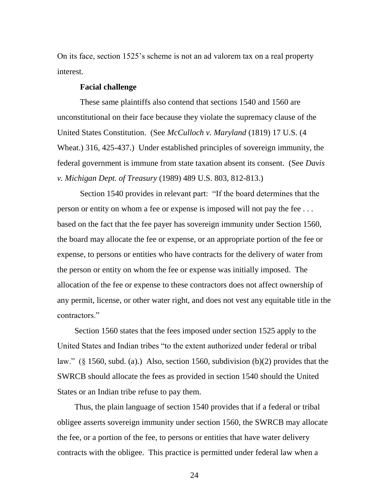On its face, section 1525"s scheme is not an ad valorem tax on a real property interest.

### **Facial challenge**

These same plaintiffs also contend that sections 1540 and 1560 are unconstitutional on their face because they violate the supremacy clause of the United States Constitution. (See *McCulloch v. Maryland* (1819) 17 U.S. (4 Wheat.) 316, 425-437.) Under established principles of sovereign immunity, the federal government is immune from state taxation absent its consent. (See *Davis v. Michigan Dept. of Treasury* (1989) 489 U.S. 803, 812-813.)

Section 1540 provides in relevant part: "If the board determines that the person or entity on whom a fee or expense is imposed will not pay the fee . . . based on the fact that the fee payer has sovereign immunity under Section 1560, the board may allocate the fee or expense, or an appropriate portion of the fee or expense, to persons or entities who have contracts for the delivery of water from the person or entity on whom the fee or expense was initially imposed. The allocation of the fee or expense to these contractors does not affect ownership of any permit, license, or other water right, and does not vest any equitable title in the contractors."

Section 1560 states that the fees imposed under section 1525 apply to the United States and Indian tribes "to the extent authorized under federal or tribal law." (§ 1560, subd. (a).) Also, section 1560, subdivision (b)(2) provides that the SWRCB should allocate the fees as provided in section 1540 should the United States or an Indian tribe refuse to pay them.

Thus, the plain language of section 1540 provides that if a federal or tribal obligee asserts sovereign immunity under section 1560, the SWRCB may allocate the fee, or a portion of the fee, to persons or entities that have water delivery contracts with the obligee. This practice is permitted under federal law when a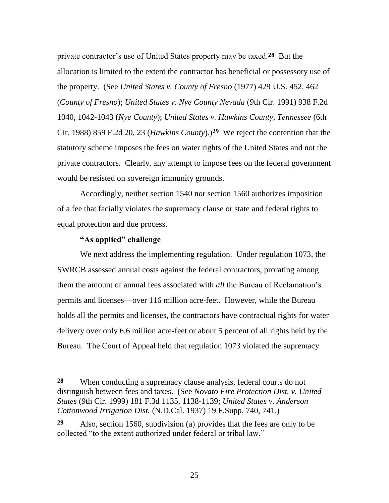private contractor"s use of United States property may be taxed.**28** But the allocation is limited to the extent the contractor has beneficial or possessory use of the property. (See *United States v. County of Fresno* (1977) 429 U.S. 452, 462 (*County of Fresno*); *United States v. Nye County Nevada* (9th Cir. 1991) 938 F.2d 1040, 1042-1043 (*Nye County*); *United States v. Hawkins County, Tennessee* (6th Cir. 1988) 859 F.2d 20, 23 (*Hawkins County*).)**29** We reject the contention that the statutory scheme imposes the fees on water rights of the United States and not the private contractors. Clearly, any attempt to impose fees on the federal government would be resisted on sovereign immunity grounds.

Accordingly, neither section 1540 nor section 1560 authorizes imposition of a fee that facially violates the supremacy clause or state and federal rights to equal protection and due process.

## **"As applied" challenge**

 $\overline{a}$ 

We next address the implementing regulation. Under regulation 1073, the SWRCB assessed annual costs against the federal contractors, prorating among them the amount of annual fees associated with *all* the Bureau of Reclamation"s permits and licenses—over 116 million acre-feet. However, while the Bureau holds all the permits and licenses, the contractors have contractual rights for water delivery over only 6.6 million acre-feet or about 5 percent of all rights held by the Bureau. The Court of Appeal held that regulation 1073 violated the supremacy

**<sup>28</sup>** When conducting a supremacy clause analysis, federal courts do not distinguish between fees and taxes. (See *Novato Fire Protection Dist. v. United States* (9th Cir. 1999) 181 F.3d 1135, 1138-1139; *United States v. Anderson Cottonwood Irrigation Dist.* (N.D.Cal. 1937) 19 F.Supp. 740, 741.)

**<sup>29</sup>** Also, section 1560, subdivision (a) provides that the fees are only to be collected "to the extent authorized under federal or tribal law."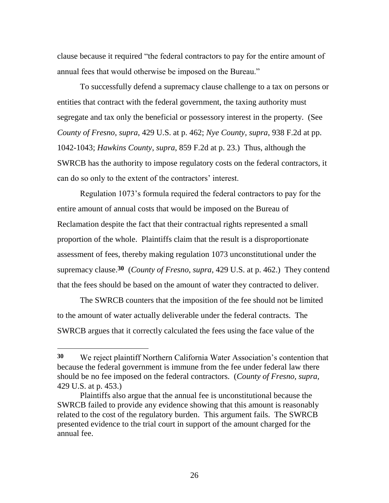clause because it required "the federal contractors to pay for the entire amount of annual fees that would otherwise be imposed on the Bureau."

To successfully defend a supremacy clause challenge to a tax on persons or entities that contract with the federal government, the taxing authority must segregate and tax only the beneficial or possessory interest in the property. (See *County of Fresno*, *supra*, 429 U.S. at p. 462; *Nye County*, *supra*, 938 F.2d at pp. 1042-1043; *Hawkins County*, *supra*, 859 F.2d at p. 23.) Thus, although the SWRCB has the authority to impose regulatory costs on the federal contractors, it can do so only to the extent of the contractors' interest.

Regulation 1073"s formula required the federal contractors to pay for the entire amount of annual costs that would be imposed on the Bureau of Reclamation despite the fact that their contractual rights represented a small proportion of the whole. Plaintiffs claim that the result is a disproportionate assessment of fees, thereby making regulation 1073 unconstitutional under the supremacy clause.**30** (*County of Fresno*, *supra*, 429 U.S. at p. 462.) They contend that the fees should be based on the amount of water they contracted to deliver.

The SWRCB counters that the imposition of the fee should not be limited to the amount of water actually deliverable under the federal contracts. The SWRCB argues that it correctly calculated the fees using the face value of the

 $\overline{a}$ 

**<sup>30</sup>** We reject plaintiff Northern California Water Association"s contention that because the federal government is immune from the fee under federal law there should be no fee imposed on the federal contractors. (*County of Fresno, supra,* 429 U.S. at p. 453.)

Plaintiffs also argue that the annual fee is unconstitutional because the SWRCB failed to provide any evidence showing that this amount is reasonably related to the cost of the regulatory burden. This argument fails. The SWRCB presented evidence to the trial court in support of the amount charged for the annual fee.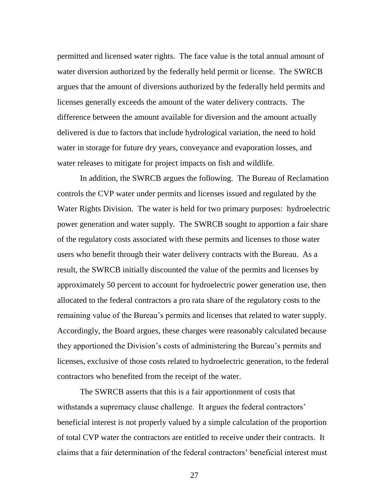permitted and licensed water rights. The face value is the total annual amount of water diversion authorized by the federally held permit or license. The SWRCB argues that the amount of diversions authorized by the federally held permits and licenses generally exceeds the amount of the water delivery contracts. The difference between the amount available for diversion and the amount actually delivered is due to factors that include hydrological variation, the need to hold water in storage for future dry years, conveyance and evaporation losses, and water releases to mitigate for project impacts on fish and wildlife.

In addition, the SWRCB argues the following. The Bureau of Reclamation controls the CVP water under permits and licenses issued and regulated by the Water Rights Division. The water is held for two primary purposes: hydroelectric power generation and water supply. The SWRCB sought to apportion a fair share of the regulatory costs associated with these permits and licenses to those water users who benefit through their water delivery contracts with the Bureau. As a result, the SWRCB initially discounted the value of the permits and licenses by approximately 50 percent to account for hydroelectric power generation use, then allocated to the federal contractors a pro rata share of the regulatory costs to the remaining value of the Bureau's permits and licenses that related to water supply. Accordingly, the Board argues, these charges were reasonably calculated because they apportioned the Division"s costs of administering the Bureau"s permits and licenses, exclusive of those costs related to hydroelectric generation, to the federal contractors who benefited from the receipt of the water.

The SWRCB asserts that this is a fair apportionment of costs that withstands a supremacy clause challenge. It argues the federal contractors' beneficial interest is not properly valued by a simple calculation of the proportion of total CVP water the contractors are entitled to receive under their contracts. It claims that a fair determination of the federal contractors" beneficial interest must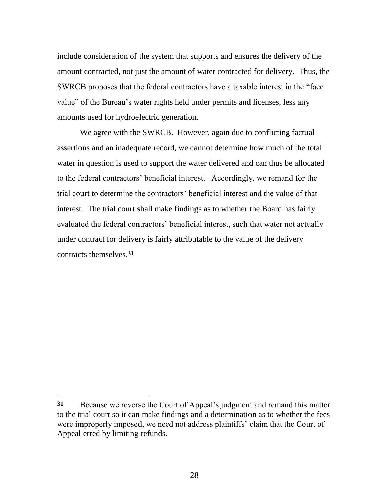include consideration of the system that supports and ensures the delivery of the amount contracted, not just the amount of water contracted for delivery. Thus, the SWRCB proposes that the federal contractors have a taxable interest in the "face value" of the Bureau"s water rights held under permits and licenses, less any amounts used for hydroelectric generation.

We agree with the SWRCB. However, again due to conflicting factual assertions and an inadequate record, we cannot determine how much of the total water in question is used to support the water delivered and can thus be allocated to the federal contractors" beneficial interest. Accordingly, we remand for the trial court to determine the contractors" beneficial interest and the value of that interest. The trial court shall make findings as to whether the Board has fairly evaluated the federal contractors' beneficial interest, such that water not actually under contract for delivery is fairly attributable to the value of the delivery contracts themselves.**31**

**<sup>31</sup>** Because we reverse the Court of Appeal"s judgment and remand this matter to the trial court so it can make findings and a determination as to whether the fees were improperly imposed, we need not address plaintiffs' claim that the Court of Appeal erred by limiting refunds.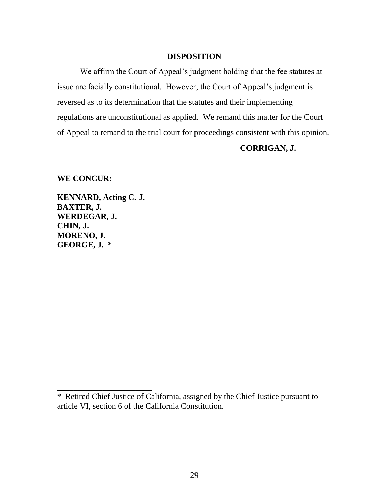# **DISPOSITION**

We affirm the Court of Appeal's judgment holding that the fee statutes at issue are facially constitutional. However, the Court of Appeal"s judgment is reversed as to its determination that the statutes and their implementing regulations are unconstitutional as applied. We remand this matter for the Court of Appeal to remand to the trial court for proceedings consistent with this opinion.

# **CORRIGAN, J.**

**WE CONCUR:** 

**KENNARD, Acting C. J. BAXTER, J. WERDEGAR, J. CHIN, J. MORENO, J. GEORGE, J. \***

\_\_\_\_\_\_\_\_\_\_\_\_\_\_\_\_\_\_\_\_\_\_\_

<sup>\*</sup> Retired Chief Justice of California, assigned by the Chief Justice pursuant to article VI, section 6 of the California Constitution.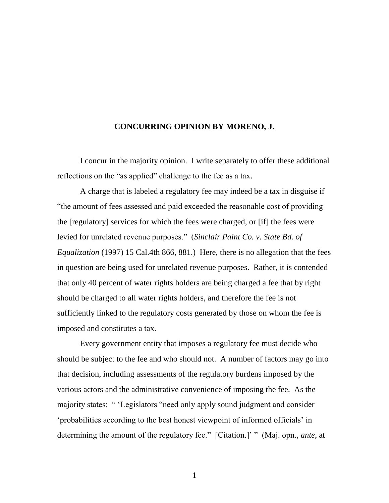## **CONCURRING OPINION BY MORENO, J.**

I concur in the majority opinion. I write separately to offer these additional reflections on the "as applied" challenge to the fee as a tax.

A charge that is labeled a regulatory fee may indeed be a tax in disguise if "the amount of fees assessed and paid exceeded the reasonable cost of providing the [regulatory] services for which the fees were charged, or [if] the fees were levied for unrelated revenue purposes." (*Sinclair Paint Co. v. State Bd. of Equalization* (1997) 15 Cal.4th 866, 881.) Here, there is no allegation that the fees in question are being used for unrelated revenue purposes. Rather, it is contended that only 40 percent of water rights holders are being charged a fee that by right should be charged to all water rights holders, and therefore the fee is not sufficiently linked to the regulatory costs generated by those on whom the fee is imposed and constitutes a tax.

Every government entity that imposes a regulatory fee must decide who should be subject to the fee and who should not. A number of factors may go into that decision, including assessments of the regulatory burdens imposed by the various actors and the administrative convenience of imposing the fee. As the majority states: " "Legislators "need only apply sound judgment and consider "probabilities according to the best honest viewpoint of informed officials" in determining the amount of the regulatory fee." [Citation.]" " (Maj. opn., *ante*, at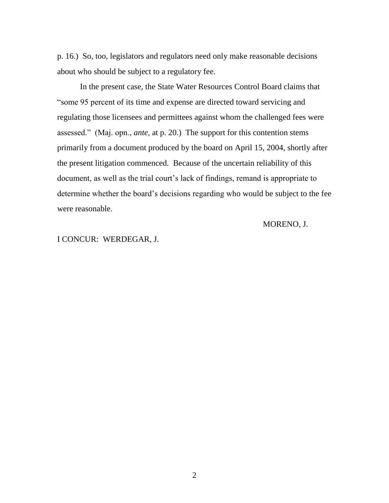p. 16.) So, too, legislators and regulators need only make reasonable decisions about who should be subject to a regulatory fee.

In the present case, the State Water Resources Control Board claims that "some 95 percent of its time and expense are directed toward servicing and regulating those licensees and permittees against whom the challenged fees were assessed." (Maj. opn., *ante*, at p. 20.) The support for this contention stems primarily from a document produced by the board on April 15, 2004, shortly after the present litigation commenced. Because of the uncertain reliability of this document, as well as the trial court's lack of findings, remand is appropriate to determine whether the board"s decisions regarding who would be subject to the fee were reasonable.

MORENO, J.

I CONCUR: WERDEGAR, J.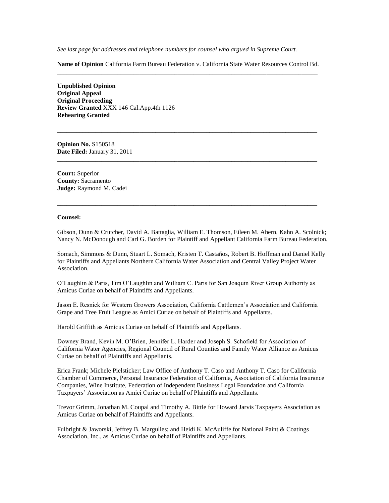*See last page for addresses and telephone numbers for counsel who argued in Supreme Court.*

**Name of Opinion** California Farm Bureau Federation v. California State Water Resources Control Bd. **\_\_\_\_\_\_\_\_\_\_\_\_\_\_\_\_\_\_\_\_\_\_\_\_\_\_\_\_\_\_\_\_\_\_\_\_\_\_\_\_\_\_\_\_\_\_\_\_\_\_\_\_\_\_\_\_\_\_\_\_\_\_\_\_\_\_\_\_\_\_\_\_\_\_\_\_\_\_\_\_\_\_**

**\_\_\_\_\_\_\_\_\_\_\_\_\_\_\_\_\_\_\_\_\_\_\_\_\_\_\_\_\_\_\_\_\_\_\_\_\_\_\_\_\_\_\_\_\_\_\_\_\_\_\_\_\_\_\_\_\_\_\_\_\_\_\_\_\_\_\_\_\_\_\_\_\_\_\_\_\_\_\_\_\_\_**

**\_\_\_\_\_\_\_\_\_\_\_\_\_\_\_\_\_\_\_\_\_\_\_\_\_\_\_\_\_\_\_\_\_\_\_\_\_\_\_\_\_\_\_\_\_\_\_\_\_\_\_\_\_\_\_\_\_\_\_\_\_\_\_\_\_\_\_\_\_\_\_\_\_\_\_\_\_\_\_\_\_\_**

**\_\_\_\_\_\_\_\_\_\_\_\_\_\_\_\_\_\_\_\_\_\_\_\_\_\_\_\_\_\_\_\_\_\_\_\_\_\_\_\_\_\_\_\_\_\_\_\_\_\_\_\_\_\_\_\_\_\_\_\_\_\_\_\_\_\_\_\_\_\_\_\_\_\_\_\_\_\_\_\_\_\_**

**Unpublished Opinion Original Appeal Original Proceeding Review Granted** XXX 146 Cal.App.4th 1126 **Rehearing Granted**

**Opinion No.** S150518 **Date Filed:** January 31, 2011

**Court:** Superior **County:** Sacramento **Judge:** Raymond M. Cadei

#### **Counsel:**

Gibson, Dunn & Crutcher, David A. Battaglia, William E. Thomson, Eileen M. Ahern, Kahn A. Scolnick; Nancy N. McDonough and Carl G. Borden for Plaintiff and Appellant California Farm Bureau Federation.

Somach, Simmons & Dunn, Stuart L. Somach, Kristen T. Castaños, Robert B. Hoffman and Daniel Kelly for Plaintiffs and Appellants Northern California Water Association and Central Valley Project Water Association.

O"Laughlin & Paris, Tim O"Laughlin and William C. Paris for San Joaquin River Group Authority as Amicus Curiae on behalf of Plaintiffs and Appellants.

Jason E. Resnick for Western Growers Association, California Cattlemen"s Association and California Grape and Tree Fruit League as Amici Curiae on behalf of Plaintiffs and Appellants.

Harold Griffith as Amicus Curiae on behalf of Plaintiffs and Appellants.

Downey Brand, Kevin M. O"Brien, Jennifer L. Harder and Joseph S. Schofield for Association of California Water Agencies, Regional Council of Rural Counties and Family Water Alliance as Amicus Curiae on behalf of Plaintiffs and Appellants.

Erica Frank; Michele Pielsticker; Law Office of Anthony T. Caso and Anthony T. Caso for California Chamber of Commerce, Personal Insurance Federation of California, Association of California Insurance Companies, Wine Institute, Federation of Independent Business Legal Foundation and California Taxpayers" Association as Amici Curiae on behalf of Plaintiffs and Appellants.

Trevor Grimm, Jonathan M. Coupal and Timothy A. Bittle for Howard Jarvis Taxpayers Association as Amicus Curiae on behalf of Plaintiffs and Appellants.

Fulbright & Jaworski, Jeffrey B. Margulies; and Heidi K. McAuliffe for National Paint & Coatings Association, Inc., as Amicus Curiae on behalf of Plaintiffs and Appellants.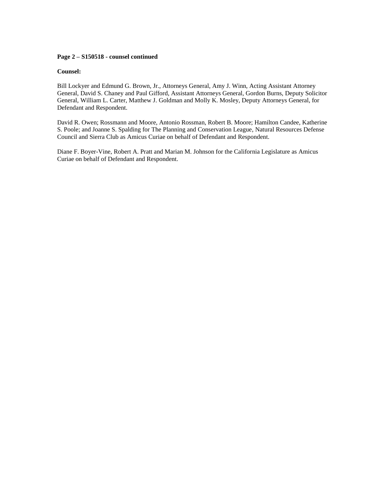#### **Page 2 – S150518 - counsel continued**

#### **Counsel:**

Bill Lockyer and Edmund G. Brown, Jr., Attorneys General, Amy J. Winn, Acting Assistant Attorney General, David S. Chaney and Paul Gifford, Assistant Attorneys General, Gordon Burns, Deputy Solicitor General, William L. Carter, Matthew J. Goldman and Molly K. Mosley, Deputy Attorneys General, for Defendant and Respondent.

David R. Owen; Rossmann and Moore, Antonio Rossman, Robert B. Moore; Hamilton Candee, Katherine S. Poole; and Joanne S. Spalding for The Planning and Conservation League, Natural Resources Defense Council and Sierra Club as Amicus Curiae on behalf of Defendant and Respondent.

Diane F. Boyer-Vine, Robert A. Pratt and Marian M. Johnson for the California Legislature as Amicus Curiae on behalf of Defendant and Respondent.